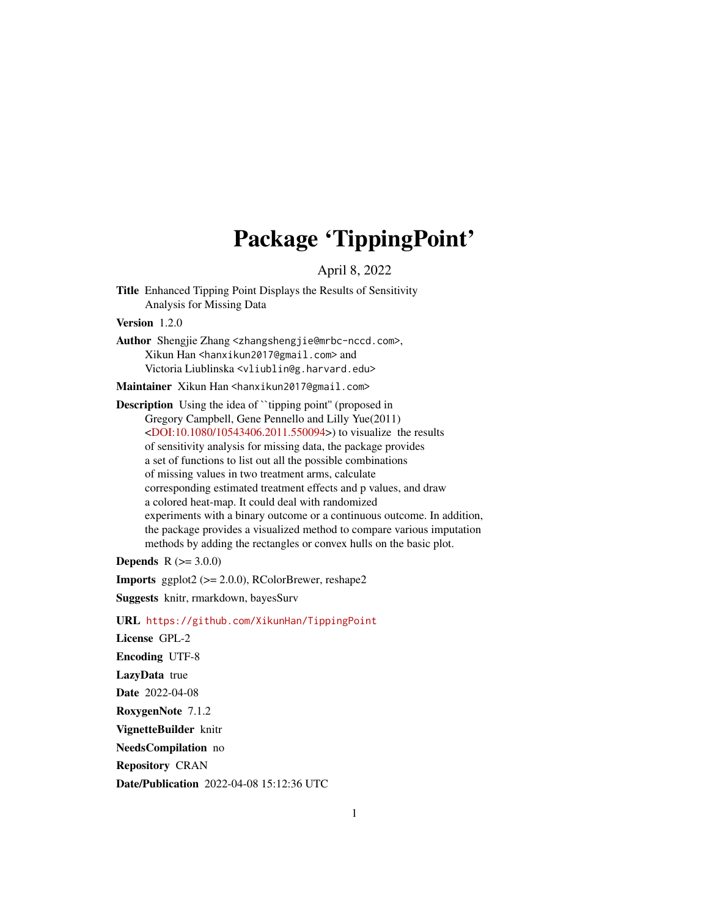# Package 'TippingPoint'

April 8, 2022

<span id="page-0-0"></span>Title Enhanced Tipping Point Displays the Results of Sensitivity Analysis for Missing Data

Version 1.2.0

Author Shengjie Zhang <zhangshengjie@mrbc-nccd.com>, Xikun Han <hanxikun2017@gmail.com> and Victoria Liublinska <vliublin@g.harvard.edu>

Maintainer Xikun Han <hanxikun2017@gmail.com>

**Description** Using the idea of ``tipping point" (proposed in Gregory Campbell, Gene Pennello and Lilly Yue(2011) [<DOI:10.1080/10543406.2011.550094>](https://doi.org/10.1080/10543406.2011.550094)) to visualize the results of sensitivity analysis for missing data, the package provides a set of functions to list out all the possible combinations of missing values in two treatment arms, calculate corresponding estimated treatment effects and p values, and draw a colored heat-map. It could deal with randomized experiments with a binary outcome or a continuous outcome. In addition, the package provides a visualized method to compare various imputation methods by adding the rectangles or convex hulls on the basic plot.

**Depends**  $R (= 3.0.0)$ 

Imports ggplot2 (>= 2.0.0), RColorBrewer, reshape2

Suggests knitr, rmarkdown, bayesSurv

URL <https://github.com/XikunHan/TippingPoint>

License GPL-2 Encoding UTF-8 LazyData true Date 2022-04-08 RoxygenNote 7.1.2 VignetteBuilder knitr NeedsCompilation no Repository CRAN Date/Publication 2022-04-08 15:12:36 UTC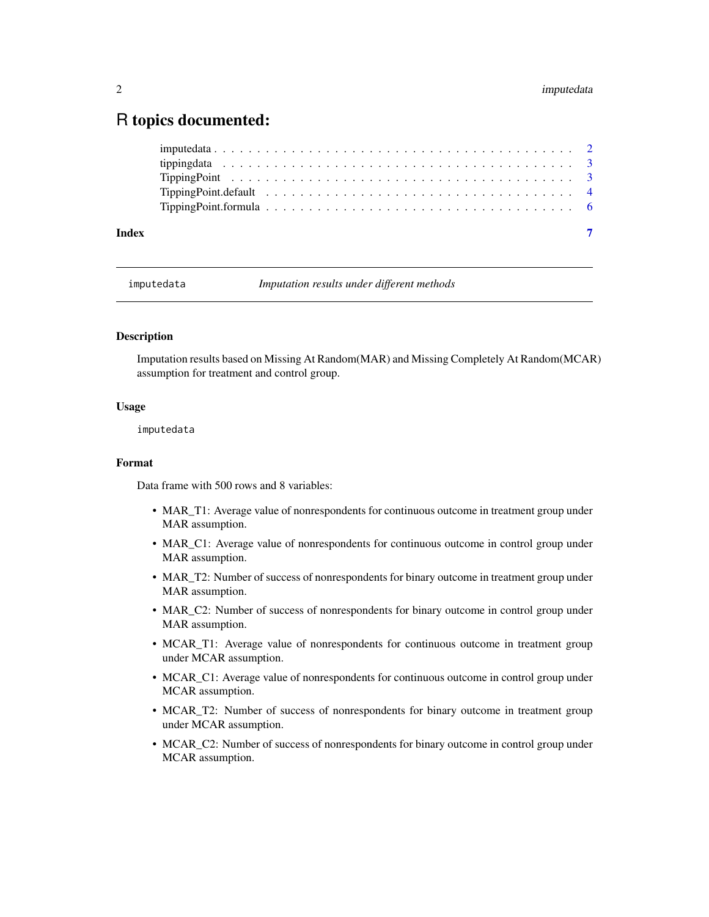# <span id="page-1-0"></span>R topics documented:

| Index |  |
|-------|--|

<span id="page-1-1"></span>

imputedata *Imputation results under different methods*

# Description

Imputation results based on Missing At Random(MAR) and Missing Completely At Random(MCAR) assumption for treatment and control group.

#### Usage

imputedata

# Format

Data frame with 500 rows and 8 variables:

- MAR\_T1: Average value of nonrespondents for continuous outcome in treatment group under MAR assumption.
- MAR\_C1: Average value of nonrespondents for continuous outcome in control group under MAR assumption.
- MAR\_T2: Number of success of nonrespondents for binary outcome in treatment group under MAR assumption.
- MAR\_C2: Number of success of nonrespondents for binary outcome in control group under MAR assumption.
- MCAR\_T1: Average value of nonrespondents for continuous outcome in treatment group under MCAR assumption.
- MCAR\_C1: Average value of nonrespondents for continuous outcome in control group under MCAR assumption.
- MCAR\_T2: Number of success of nonrespondents for binary outcome in treatment group under MCAR assumption.
- MCAR\_C2: Number of success of nonrespondents for binary outcome in control group under MCAR assumption.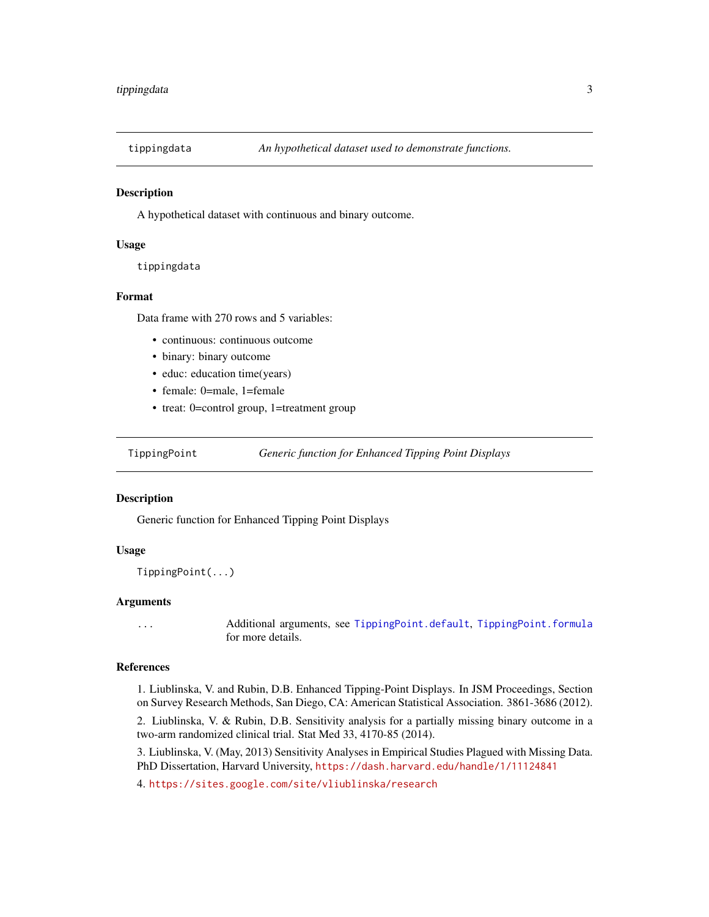<span id="page-2-0"></span>

#### Description

A hypothetical dataset with continuous and binary outcome.

#### Usage

tippingdata

#### Format

Data frame with 270 rows and 5 variables:

- continuous: continuous outcome
- binary: binary outcome
- educ: education time(years)
- female: 0=male, 1=female
- treat: 0=control group, 1=treatment group

<span id="page-2-1"></span>TippingPoint *Generic function for Enhanced Tipping Point Displays*

#### **Description**

Generic function for Enhanced Tipping Point Displays

### Usage

TippingPoint(...)

#### Arguments

... Additional arguments, see [TippingPoint.default](#page-3-1), [TippingPoint.formula](#page-5-1) for more details.

### References

1. Liublinska, V. and Rubin, D.B. Enhanced Tipping-Point Displays. In JSM Proceedings, Section on Survey Research Methods, San Diego, CA: American Statistical Association. 3861-3686 (2012).

2. Liublinska, V. & Rubin, D.B. Sensitivity analysis for a partially missing binary outcome in a two-arm randomized clinical trial. Stat Med 33, 4170-85 (2014).

3. Liublinska, V. (May, 2013) Sensitivity Analyses in Empirical Studies Plagued with Missing Data. PhD Dissertation, Harvard University, <https://dash.harvard.edu/handle/1/11124841>

4. <https://sites.google.com/site/vliublinska/research>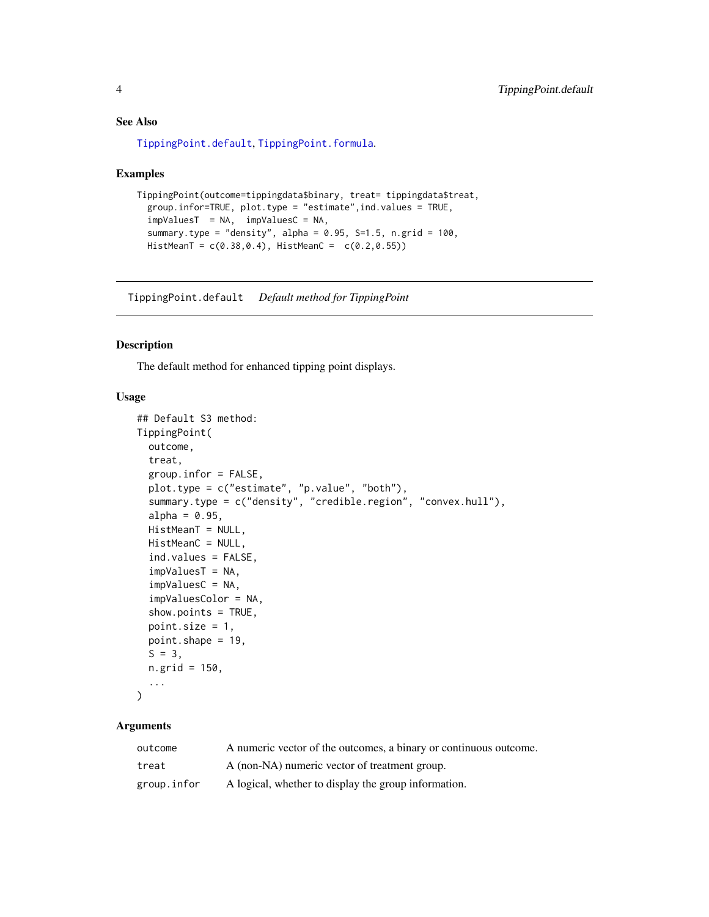# See Also

[TippingPoint.default](#page-3-1), [TippingPoint.formula](#page-5-1).

#### Examples

```
TippingPoint(outcome=tippingdata$binary, treat= tippingdata$treat,
 group.infor=TRUE, plot.type = "estimate",ind.values = TRUE,
 impValuesT = NA, impValuesC = NA,
 summary.type = "density", alpha = 0.95, S=1.5, n.grid = 100,
 HistMeanT = c(0.38,0.4), HistMeanC = c(0.2,0.55))
```
<span id="page-3-1"></span>TippingPoint.default *Default method for TippingPoint*

# Description

The default method for enhanced tipping point displays.

#### Usage

```
## Default S3 method:
TippingPoint(
  outcome,
  treat,
  group.infor = FALSE,
 plot.type = c("estimate", "p.value", "both"),
  summary.type = c("density", "credible.region", "convex.hull"),
  alpha = 0.95,
 HistMeanT = NULL,
 HistMeanC = NULL,
  ind.values = FALSE,
  impValuesT = NA,
  impValuesC = NA,
  impValuesColor = NA,
  show.points = TRUE,
 point.size = 1,
 point.shape = 19,
  S = 3,
 n.grid = 150,
  ...
\mathcal{L}
```
# Arguments

| outcome     | A numeric vector of the outcomes, a binary or continuous outcome. |
|-------------|-------------------------------------------------------------------|
| treat       | A (non-NA) numeric vector of treatment group.                     |
| group.infor | A logical, whether to display the group information.              |

<span id="page-3-0"></span>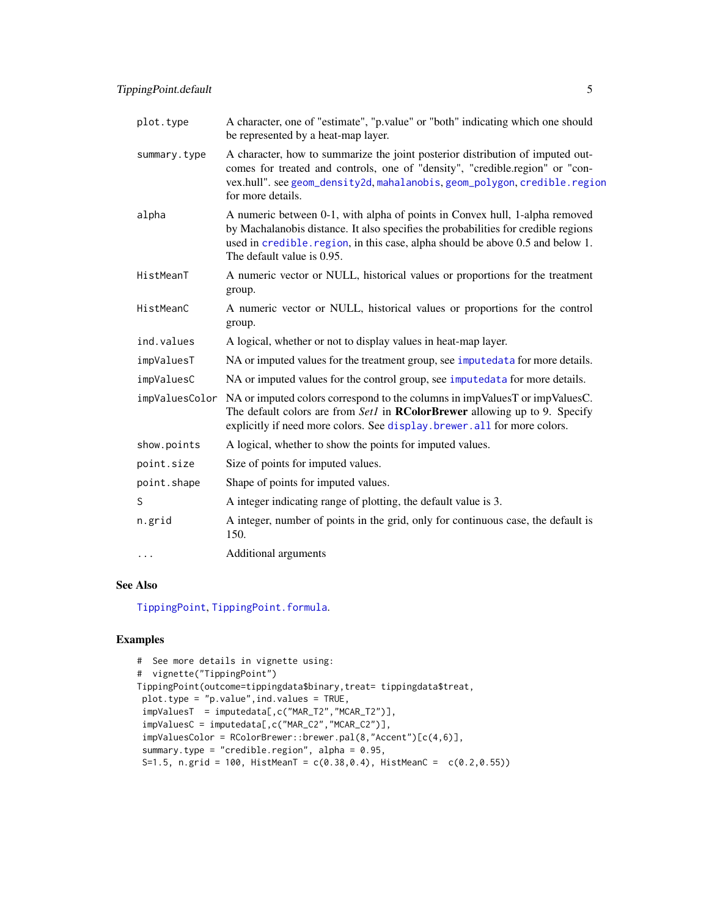<span id="page-4-0"></span>

| plot.type      | A character, one of "estimate", "p.value" or "both" indicating which one should<br>be represented by a heat-map layer.                                                                                                                                                            |
|----------------|-----------------------------------------------------------------------------------------------------------------------------------------------------------------------------------------------------------------------------------------------------------------------------------|
| summary.type   | A character, how to summarize the joint posterior distribution of imputed out-<br>comes for treated and controls, one of "density", "credible.region" or "con-<br>vex.hull". see geom_density2d, mahalanobis, geom_polygon, credible.region<br>for more details.                  |
| alpha          | A numeric between 0-1, with alpha of points in Convex hull, 1-alpha removed<br>by Machalanobis distance. It also specifies the probabilities for credible regions<br>used in credible. region, in this case, alpha should be above 0.5 and below 1.<br>The default value is 0.95. |
| HistMeanT      | A numeric vector or NULL, historical values or proportions for the treatment<br>group.                                                                                                                                                                                            |
| HistMeanC      | A numeric vector or NULL, historical values or proportions for the control<br>group.                                                                                                                                                                                              |
| ind.values     | A logical, whether or not to display values in heat-map layer.                                                                                                                                                                                                                    |
| impValuesT     | NA or imputed values for the treatment group, see imputedata for more details.                                                                                                                                                                                                    |
| impValuesC     | NA or imputed values for the control group, see imputedata for more details.                                                                                                                                                                                                      |
| impValuesColor | NA or imputed colors correspond to the columns in impValuesT or impValuesC.<br>The default colors are from Set1 in <b>RColorBrewer</b> allowing up to 9. Specify<br>explicitly if need more colors. See display. brewer. all for more colors.                                     |
| show.points    | A logical, whether to show the points for imputed values.                                                                                                                                                                                                                         |
| point.size     | Size of points for imputed values.                                                                                                                                                                                                                                                |
| point.shape    | Shape of points for imputed values.                                                                                                                                                                                                                                               |
| S              | A integer indicating range of plotting, the default value is 3.                                                                                                                                                                                                                   |
| n.grid         | A integer, number of points in the grid, only for continuous case, the default is<br>150.                                                                                                                                                                                         |
| $\cdots$       | Additional arguments                                                                                                                                                                                                                                                              |

# See Also

[TippingPoint](#page-2-1), [TippingPoint.formula](#page-5-1).

# Examples

```
# See more details in vignette using:
# vignette("TippingPoint")
TippingPoint(outcome=tippingdata$binary,treat= tippingdata$treat,
plot.type = "p.value",ind.values = TRUE,
 impValuesT = imputedata[,c("MAR_T2","MCAR_T2")],
 impValuesC = imputedata[,c("MAR_C2","MCAR_C2")],
 impValuesColor = RColorBrewer::brewer.pal(8,"Accent")[c(4,6)],
 summary.type = "credible.region", alpha = 0.95,
 S=1.5, n.grid = 100, HistMeanT = c(0.38, 0.4), HistMeanC = c(0.2, 0.55))
```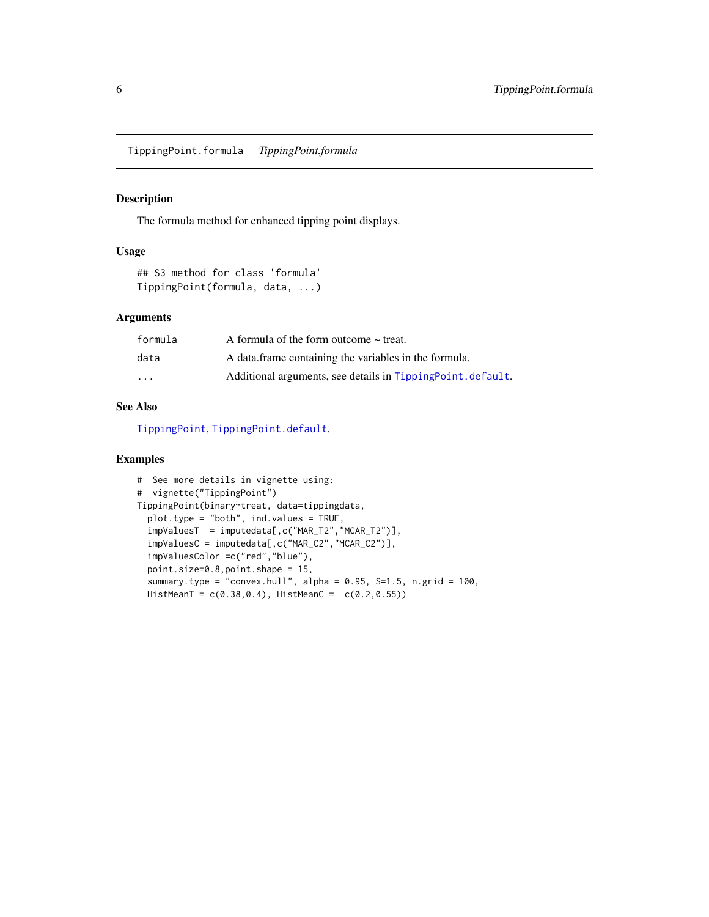<span id="page-5-1"></span><span id="page-5-0"></span>TippingPoint.formula *TippingPoint.formula*

#### Description

The formula method for enhanced tipping point displays.

## Usage

```
## S3 method for class 'formula'
TippingPoint(formula, data, ...)
```
# Arguments

| formula                 | A formula of the form outcome $\sim$ treat.                 |
|-------------------------|-------------------------------------------------------------|
| data                    | A data frame containing the variables in the formula.       |
| $\cdot$ $\cdot$ $\cdot$ | Additional arguments, see details in TippingPoint. default. |

# See Also

[TippingPoint](#page-2-1), [TippingPoint.default](#page-3-1).

## Examples

```
# See more details in vignette using:
# vignette("TippingPoint")
TippingPoint(binary~treat, data=tippingdata,
  plot.type = "both", ind.values = TRUE,
  impValuesT = imputedata[,c("MAR_T2","MCAR_T2")],
  impValuesC = imputedata[,c("MAR_C2","MCAR_C2")],
  impValuesColor =c("red","blue"),
  point.size=0.8,point.shape = 15,
  summary.type = "convex.hull", alpha = 0.95, S=1.5, n.grid = 100,
  HistMeanT = c(0.38, 0.4), HistMeanC = c(0.2, 0.55))
```